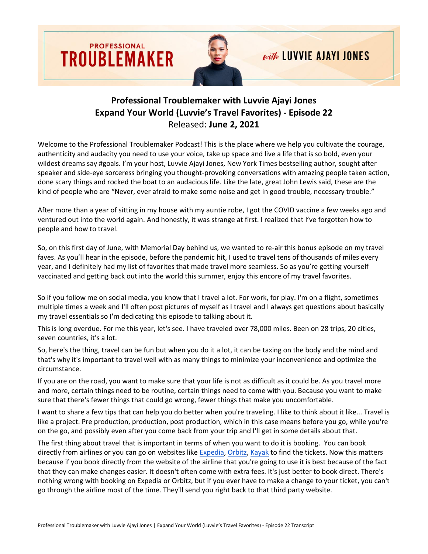



## with LUVVIE AJAYI JONES

## **Professional Troublemaker with Luvvie Ajayi Jones Expand Your World (Luvvie's Travel Favorites) - Episode 22** Released: **June 2, 2021**

Welcome to the Professional Troublemaker Podcast! This is the place where we help you cultivate the courage, authenticity and audacity you need to use your voice, take up space and live a life that is so bold, even your wildest dreams say #goals. I'm your host, Luvvie Ajayi Jones, New York Times bestselling author, sought after speaker and side-eye sorceress bringing you thought-provoking conversations with amazing people taken action, done scary things and rocked the boat to an audacious life. Like the late, great John Lewis said, these are the kind of people who are "Never, ever afraid to make some noise and get in good trouble, necessary trouble."

After more than a year of sitting in my house with my auntie robe, I got the COVID vaccine a few weeks ago and ventured out into the world again. And honestly, it was strange at first. I realized that I've forgotten how to people and how to travel.

So, on this first day of June, with Memorial Day behind us, we wanted to re-air this bonus episode on my travel faves. As you'll hear in the episode, before the pandemic hit, I used to travel tens of thousands of miles every year, and I definitely had my list of favorites that made travel more seamless. So as you're getting yourself vaccinated and getting back out into the world this summer, enjoy this encore of my travel favorites.

So if you follow me on social media, you know that I travel a lot. For work, for play. I'm on a flight, sometimes multiple times a week and I'll often post pictures of myself as I travel and I always get questions about basically my travel essentials so I'm dedicating this episode to talking about it.

This is long overdue. For me this year, let's see. I have traveled over 78,000 miles. Been on 28 trips, 20 cities, seven countries, it's a lot.

So, here's the thing, travel can be fun but when you do it a lot, it can be taxing on the body and the mind and that's why it's important to travel well with as many things to minimize your inconvenience and optimize the circumstance.

If you are on the road, you want to make sure that your life is not as difficult as it could be. As you travel more and more, certain things need to be routine, certain things need to come with you. Because you want to make sure that there's fewer things that could go wrong, fewer things that make you uncomfortable.

I want to share a few tips that can help you do better when you're traveling. I like to think about it like... Travel is like a project. Pre production, production, post production, which in this case means before you go, while you're on the go, and possibly even after you come back from your trip and I'll get in some details about that.

The first thing about travel that is important in terms of when you want to do it is booking. You can book directly from airlines or you can go on websites like [Expedia,](https://www.expedia.com/) [Orbitz,](https://www.orbitz.com/) [Kayak](https://www.kayak.com/) to find the tickets. Now this matters because if you book directly from the website of the airline that you're going to use it is best because of the fact that they can make changes easier. It doesn't often come with extra fees. It's just better to book direct. There's nothing wrong with booking on Expedia or Orbitz, but if you ever have to make a change to your ticket, you can't go through the airline most of the time. They'll send you right back to that third party website.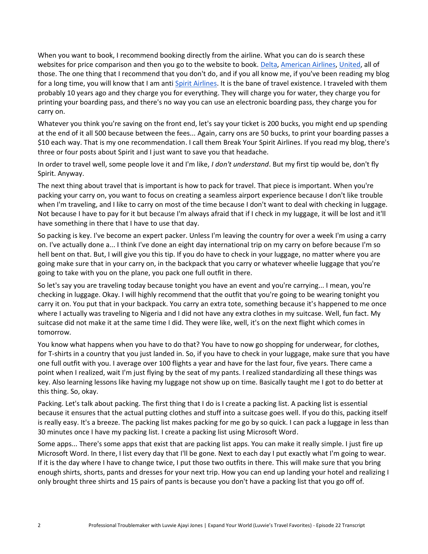When you want to book, I recommend booking directly from the airline. What you can do is search these websites for price comparison and then you go to the website to book. [Delta,](https://www.delta.com/) [American Airlines,](https://www.aa.com/homePage.do) [United,](https://www.united.com/) all of those. The one thing that I recommend that you don't do, and if you all know me, if you've been reading my blog for a long time, you will know that I am anti [Spirit Airlines.](https://www.spirit.com/) It is the bane of travel existence. I traveled with them probably 10 years ago and they charge you for everything. They will charge you for water, they charge you for printing your boarding pass, and there's no way you can use an electronic boarding pass, they charge you for carry on.

Whatever you think you're saving on the front end, let's say your ticket is 200 bucks, you might end up spending at the end of it all 500 because between the fees... Again, carry ons are 50 bucks, to print your boarding passes a \$10 each way. That is my one recommendation. I call them Break Your Spirit Airlines. If you read my blog, there's three or four posts about Spirit and I just want to save you that headache.

In order to travel well, some people love it and I'm like, *I don't understand*. But my first tip would be, don't fly Spirit. Anyway.

The next thing about travel that is important is how to pack for travel. That piece is important. When you're packing your carry on, you want to focus on creating a seamless airport experience because I don't like trouble when I'm traveling, and I like to carry on most of the time because I don't want to deal with checking in luggage. Not because I have to pay for it but because I'm always afraid that if I check in my luggage, it will be lost and it'll have something in there that I have to use that day.

So packing is key. I've become an expert packer. Unless I'm leaving the country for over a week I'm using a carry on. I've actually done a... I think I've done an eight day international trip on my carry on before because I'm so hell bent on that. But, I will give you this tip. If you do have to check in your luggage, no matter where you are going make sure that in your carry on, in the backpack that you carry or whatever wheelie luggage that you're going to take with you on the plane, you pack one full outfit in there.

So let's say you are traveling today because tonight you have an event and you're carrying... I mean, you're checking in luggage. Okay. I will highly recommend that the outfit that you're going to be wearing tonight you carry it on. You put that in your backpack. You carry an extra tote, something because it's happened to me once where I actually was traveling to Nigeria and I did not have any extra clothes in my suitcase. Well, fun fact. My suitcase did not make it at the same time I did. They were like, well, it's on the next flight which comes in tomorrow.

You know what happens when you have to do that? You have to now go shopping for underwear, for clothes, for T-shirts in a country that you just landed in. So, if you have to check in your luggage, make sure that you have one full outfit with you. I average over 100 flights a year and have for the last four, five years. There came a point when I realized, wait I'm just flying by the seat of my pants. I realized standardizing all these things was key. Also learning lessons like having my luggage not show up on time. Basically taught me I got to do better at this thing. So, okay.

Packing. Let's talk about packing. The first thing that I do is I create a packing list. A packing list is essential because it ensures that the actual putting clothes and stuff into a suitcase goes well. If you do this, packing itself is really easy. It's a breeze. The packing list makes packing for me go by so quick. I can pack a luggage in less than 30 minutes once I have my packing list. I create a packing list using Microsoft Word.

Some apps... There's some apps that exist that are packing list apps. You can make it really simple. I just fire up Microsoft Word. In there, I list every day that I'll be gone. Next to each day I put exactly what I'm going to wear. If it is the day where I have to change twice, I put those two outfits in there. This will make sure that you bring enough shirts, shorts, pants and dresses for your next trip. How you can end up landing your hotel and realizing I only brought three shirts and 15 pairs of pants is because you don't have a packing list that you go off of.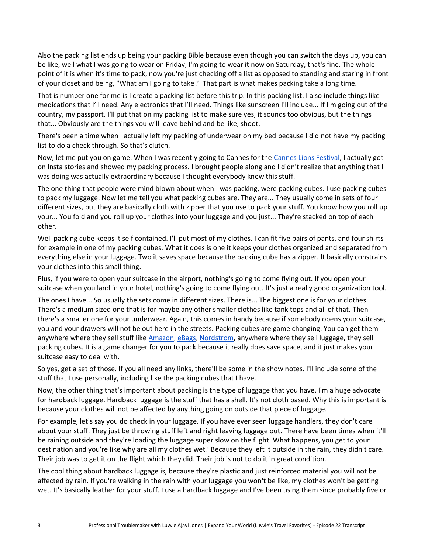Also the packing list ends up being your packing Bible because even though you can switch the days up, you can be like, well what I was going to wear on Friday, I'm going to wear it now on Saturday, that's fine. The whole point of it is when it's time to pack, now you're just checking off a list as opposed to standing and staring in front of your closet and being, "What am I going to take?" That part is what makes packing take a long time.

That is number one for me is I create a packing list before this trip. In this packing list. I also include things like medications that I'll need. Any electronics that I'll need. Things like sunscreen I'll include... If I'm going out of the country, my passport. I'll put that on my packing list to make sure yes, it sounds too obvious, but the things that... Obviously are the things you will leave behind and be like, shoot.

There's been a time when I actually left my packing of underwear on my bed because I did not have my packing list to do a check through. So that's clutch.

Now, let me put you on game. When I was recently going to Cannes for the [Cannes Lions Festival,](https://www.canneslions.com/) I actually got on Insta stories and showed my packing process. I brought people along and I didn't realize that anything that I was doing was actually extraordinary because I thought everybody knew this stuff.

The one thing that people were mind blown about when I was packing, were packing cubes. I use packing cubes to pack my luggage. Now let me tell you what packing cubes are. They are... They usually come in sets of four different sizes, but they are basically cloth with zipper that you use to pack your stuff. You know how you roll up your... You fold and you roll up your clothes into your luggage and you just... They're stacked on top of each other.

Well packing cube keeps it self contained. I'll put most of my clothes. I can fit five pairs of pants, and four shirts for example in one of my packing cubes. What it does is one it keeps your clothes organized and separated from everything else in your luggage. Two it saves space because the packing cube has a zipper. It basically constrains your clothes into this small thing.

Plus, if you were to open your suitcase in the airport, nothing's going to come flying out. If you open your suitcase when you land in your hotel, nothing's going to come flying out. It's just a really good organization tool.

The ones I have... So usually the sets come in different sizes. There is... The biggest one is for your clothes. There's a medium sized one that is for maybe any other smaller clothes like tank tops and all of that. Then there's a smaller one for your underwear. Again, this comes in handy because if somebody opens your suitcase, you and your drawers will not be out here in the streets. Packing cubes are game changing. You can get them anywhere where they sell stuff like [Amazon,](http://amazon.com/) [eBags,](https://www.ebags.com/) [Nordstrom,](https://shop.nordstrom.com/) anywhere where they sell luggage, they sell packing cubes. It is a game changer for you to pack because it really does save space, and it just makes your suitcase easy to deal with.

So yes, get a set of those. If you all need any links, there'll be some in the show notes. I'll include some of the stuff that I use personally, including like the packing cubes that I have.

Now, the other thing that's important about packing is the type of luggage that you have. I'm a huge advocate for hardback luggage. Hardback luggage is the stuff that has a shell. It's not cloth based. Why this is important is because your clothes will not be affected by anything going on outside that piece of luggage.

For example, let's say you do check in your luggage. If you have ever seen luggage handlers, they don't care about your stuff. They just be throwing stuff left and right leaving luggage out. There have been times when it'll be raining outside and they're loading the luggage super slow on the flight. What happens, you get to your destination and you're like why are all my clothes wet? Because they left it outside in the rain, they didn't care. Their job was to get it on the flight which they did. Their job is not to do it in great condition.

The cool thing about hardback luggage is, because they're plastic and just reinforced material you will not be affected by rain. If you're walking in the rain with your luggage you won't be like, my clothes won't be getting wet. It's basically leather for your stuff. I use a hardback luggage and I've been using them since probably five or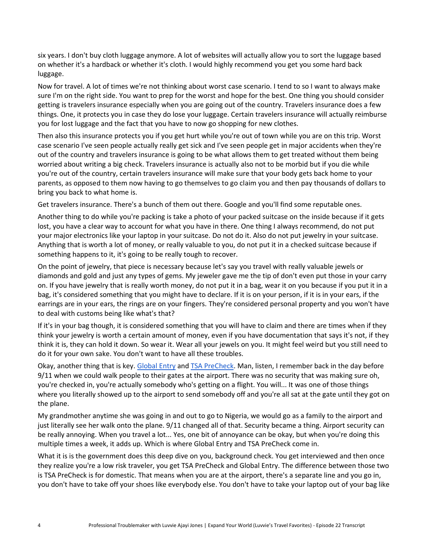six years. I don't buy cloth luggage anymore. A lot of websites will actually allow you to sort the luggage based on whether it's a hardback or whether it's cloth. I would highly recommend you get you some hard back luggage.

Now for travel. A lot of times we're not thinking about worst case scenario. I tend to so I want to always make sure I'm on the right side. You want to prep for the worst and hope for the best. One thing you should consider getting is travelers insurance especially when you are going out of the country. Travelers insurance does a few things. One, it protects you in case they do lose your luggage. Certain travelers insurance will actually reimburse you for lost luggage and the fact that you have to now go shopping for new clothes.

Then also this insurance protects you if you get hurt while you're out of town while you are on this trip. Worst case scenario I've seen people actually really get sick and I've seen people get in major accidents when they're out of the country and travelers insurance is going to be what allows them to get treated without them being worried about writing a big check. Travelers insurance is actually also not to be morbid but if you die while you're out of the country, certain travelers insurance will make sure that your body gets back home to your parents, as opposed to them now having to go themselves to go claim you and then pay thousands of dollars to bring you back to what home is.

Get travelers insurance. There's a bunch of them out there. Google and you'll find some reputable ones.

Another thing to do while you're packing is take a photo of your packed suitcase on the inside because if it gets lost, you have a clear way to account for what you have in there. One thing I always recommend, do not put your major electronics like your laptop in your suitcase. Do not do it. Also do not put jewelry in your suitcase. Anything that is worth a lot of money, or really valuable to you, do not put it in a checked suitcase because if something happens to it, it's going to be really tough to recover.

On the point of jewelry, that piece is necessary because let's say you travel with really valuable jewels or diamonds and gold and just any types of gems. My jeweler gave me the tip of don't even put those in your carry on. If you have jewelry that is really worth money, do not put it in a bag, wear it on you because if you put it in a bag, it's considered something that you might have to declare. If it is on your person, if it is in your ears, if the earrings are in your ears, the rings are on your fingers. They're considered personal property and you won't have to deal with customs being like what's that?

If it's in your bag though, it is considered something that you will have to claim and there are times when if they think your jewelry is worth a certain amount of money, even if you have documentation that says it's not, if they think it is, they can hold it down. So wear it. Wear all your jewels on you. It might feel weird but you still need to do it for your own sake. You don't want to have all these troubles.

Okay, another thing that is key. [Global Entry](https://www.cbp.gov/travel/trusted-traveler-programs/global-entry) and [TSA PreCheck.](https://www.tsa.gov/precheck) Man, listen, I remember back in the day before 9/11 when we could walk people to their gates at the airport. There was no security that was making sure oh, you're checked in, you're actually somebody who's getting on a flight. You will... It was one of those things where you literally showed up to the airport to send somebody off and you're all sat at the gate until they got on the plane.

My grandmother anytime she was going in and out to go to Nigeria, we would go as a family to the airport and just literally see her walk onto the plane. 9/11 changed all of that. Security became a thing. Airport security can be really annoying. When you travel a lot... Yes, one bit of annoyance can be okay, but when you're doing this multiple times a week, it adds up. Which is where Global Entry and TSA PreCheck come in.

What it is is the government does this deep dive on you, background check. You get interviewed and then once they realize you're a low risk traveler, you get TSA PreCheck and Global Entry. The difference between those two is TSA PreCheck is for domestic. That means when you are at the airport, there's a separate line and you go in, you don't have to take off your shoes like everybody else. You don't have to take your laptop out of your bag like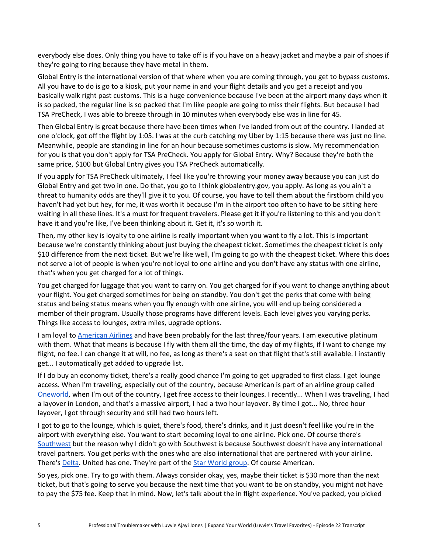everybody else does. Only thing you have to take off is if you have on a heavy jacket and maybe a pair of shoes if they're going to ring because they have metal in them.

Global Entry is the international version of that where when you are coming through, you get to bypass customs. All you have to do is go to a kiosk, put your name in and your flight details and you get a receipt and you basically walk right past customs. This is a huge convenience because I've been at the airport many days when it is so packed, the regular line is so packed that I'm like people are going to miss their flights. But because I had TSA PreCheck, I was able to breeze through in 10 minutes when everybody else was in line for 45.

Then Global Entry is great because there have been times when I've landed from out of the country. I landed at one o'clock, got off the flight by 1:05. I was at the curb catching my Uber by 1:15 because there was just no line. Meanwhile, people are standing in line for an hour because sometimes customs is slow. My recommendation for you is that you don't apply for TSA PreCheck. You apply for Global Entry. Why? Because they're both the same price, \$100 but Global Entry gives you TSA PreCheck automatically.

If you apply for TSA PreCheck ultimately, I feel like you're throwing your money away because you can just do Global Entry and get two in one. Do that, you go to I think globalentry.gov, you apply. As long as you ain't a threat to humanity odds are they'll give it to you. Of course, you have to tell them about the firstborn child you haven't had yet but hey, for me, it was worth it because I'm in the airport too often to have to be sitting here waiting in all these lines. It's a must for frequent travelers. Please get it if you're listening to this and you don't have it and you're like, I've been thinking about it. Get it, it's so worth it.

Then, my other key is loyalty to one airline is really important when you want to fly a lot. This is important because we're constantly thinking about just buying the cheapest ticket. Sometimes the cheapest ticket is only \$10 difference from the next ticket. But we're like well, I'm going to go with the cheapest ticket. Where this does not serve a lot of people is when you're not loyal to one airline and you don't have any status with one airline, that's when you get charged for a lot of things.

You get charged for luggage that you want to carry on. You get charged for if you want to change anything about your flight. You get charged sometimes for being on standby. You don't get the perks that come with being status and being status means when you fly enough with one airline, you will end up being considered a member of their program. Usually those programs have different levels. Each level gives you varying perks. Things like access to lounges, extra miles, upgrade options.

I am loyal to [American Airlines](https://www.aa.com/) and have been probably for the last three/four years. I am executive platinum with them. What that means is because I fly with them all the time, the day of my flights, if I want to change my flight, no fee. I can change it at will, no fee, as long as there's a seat on that flight that's still available. I instantly get... I automatically get added to upgrade list.

If I do buy an economy ticket, there's a really good chance I'm going to get upgraded to first class. I get lounge access. When I'm traveling, especially out of the country, because American is part of an airline group called [Oneworld,](https://www.oneworld.com/) when I'm out of the country, I get free access to their lounges. I recently... When I was traveling, I had a layover in London, and that's a massive airport, I had a two hour layover. By time I got... No, three hour layover, I got through security and still had two hours left.

I got to go to the lounge, which is quiet, there's food, there's drinks, and it just doesn't feel like you're in the airport with everything else. You want to start becoming loyal to one airline. Pick one. Of course there's [Southwest](https://www.southwest.com/) but the reason why I didn't go with Southwest is because Southwest doesn't have any international travel partners. You get perks with the ones who are also international that are partnered with your airline. There's [Delta.](https://www.delta.com/) United has one. They're part of the [Star World group.](https://www.staralliance.com/en/) Of course American.

So yes, pick one. Try to go with them. Always consider okay, yes, maybe their ticket is \$30 more than the next ticket, but that's going to serve you because the next time that you want to be on standby, you might not have to pay the \$75 fee. Keep that in mind. Now, let's talk about the in flight experience. You've packed, you picked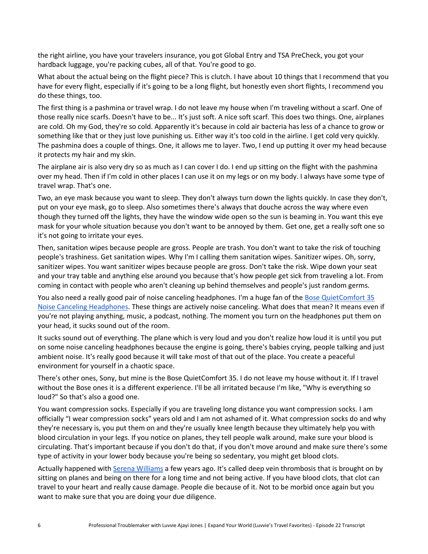the right airline, you have your travelers insurance, you got Global Entry and TSA PreCheck, you got your hardback luggage, you're packing cubes, all of that. You're good to go.

What about the actual being on the flight piece? This is clutch. I have about 10 things that I recommend that you have for every flight, especially if it's going to be a long flight, but honestly even short flights, I recommend you do these things, too.

The first thing is a pashmina or travel wrap. I do not leave my house when I'm traveling without a scarf. One of those really nice scarfs. Doesn't have to be... It's just soft. A nice soft scarf. This does two things. One, airplanes are cold. Oh my God, they're so cold. Apparently it's because in cold air bacteria has less of a chance to grow or something like that or they just love punishing us. Either way it's too cold in the airline. I get cold very quickly. The pashmina does a couple of things. One, it allows me to layer. Two, I end up putting it over my head because it protects my hair and my skin.

The airplane air is also very dry so as much as I can cover I do. I end up sitting on the flight with the pashmina over my head. Then if I'm cold in other places I can use it on my legs or on my body. I always have some type of travel wrap. That's one.

Two, an eye mask because you want to sleep. They don't always turn down the lights quickly. In case they don't, put on your eye mask, go to sleep. Also sometimes there's always that douche across the way where even though they turned off the lights, they have the window wide open so the sun is beaming in. You want this eye mask for your whole situation because you don't want to be annoyed by them. Get one, get a really soft one so it's not going to irritate your eyes.

Then, sanitation wipes because people are gross. People are trash. You don't want to take the risk of touching people's trashiness. Get sanitation wipes. Why I'm I calling them sanitation wipes. Sanitizer wipes. Oh, sorry, sanitizer wipes. You want sanitizer wipes because people are gross. Don't take the risk. Wipe down your seat and your tray table and anything else around you because that's how people get sick from traveling a lot. From coming in contact with people who aren't cleaning up behind themselves and people's just random germs.

You also need a really good pair of noise canceling headphones. I'm a huge fan of the Bose QuietComfort 35 [Noise Canceling Headphones.](https://www.bose.com/en_us/products/headphones/over_ear_headphones/quietcomfort-35-wireless-ii.html) These things are actively noise canceling. What does that mean? It means even if you're not playing anything, music, a podcast, nothing. The moment you turn on the headphones put them on your head, it sucks sound out of the room.

It sucks sound out of everything. The plane which is very loud and you don't realize how loud it is until you put on some noise canceling headphones because the engine is going, there's babies crying, people talking and just ambient noise. It's really good because it will take most of that out of the place. You create a peaceful environment for yourself in a chaotic space.

There's other ones, Sony, but mine is the Bose QuietComfort 35. I do not leave my house without it. If I travel without the Bose ones it is a different experience. I'll be all irritated because I'm like, "Why is everything so loud?" So that's also a good one.

You want compression socks. Especially if you are traveling long distance you want compression socks. I am officially "I wear compression socks" years old and I am not ashamed of it. What compression socks do and why they're necessary is, you put them on and they're usually knee length because they ultimately help you with blood circulation in your legs. If you notice on planes, they tell people walk around, make sure your blood is circulating. That's important because if you don't do that, if you don't move around and make sure there's some type of activity in your lower body because you're being so sedentary, you might get blood clots.

Actually happened with [Serena Williams](https://vascularcures.org/2018/01/13/serena-williams-and-her-experience-with-pulmonary-embolisms/) a few years ago. It's called deep vein thrombosis that is brought on by sitting on planes and being on there for a long time and not being active. If you have blood clots, that clot can travel to your heart and really cause damage. People die because of it. Not to be morbid once again but you want to make sure that you are doing your due diligence.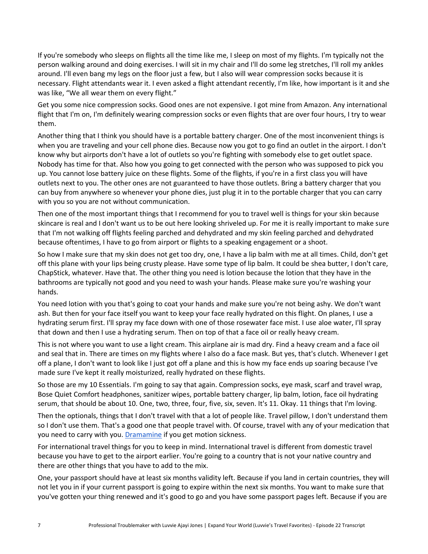If you're somebody who sleeps on flights all the time like me, I sleep on most of my flights. I'm typically not the person walking around and doing exercises. I will sit in my chair and I'll do some leg stretches, I'll roll my ankles around. I'll even bang my legs on the floor just a few, but I also will wear compression socks because it is necessary. Flight attendants wear it. I even asked a flight attendant recently, I'm like, how important is it and she was like, "We all wear them on every flight."

Get you some nice compression socks. Good ones are not expensive. I got mine from Amazon. Any international flight that I'm on, I'm definitely wearing compression socks or even flights that are over four hours, I try to wear them.

Another thing that I think you should have is a portable battery charger. One of the most inconvenient things is when you are traveling and your cell phone dies. Because now you got to go find an outlet in the airport. I don't know why but airports don't have a lot of outlets so you're fighting with somebody else to get outlet space. Nobody has time for that. Also how you going to get connected with the person who was supposed to pick you up. You cannot lose battery juice on these flights. Some of the flights, if you're in a first class you will have outlets next to you. The other ones are not guaranteed to have those outlets. Bring a battery charger that you can buy from anywhere so whenever your phone dies, just plug it in to the portable charger that you can carry with you so you are not without communication.

Then one of the most important things that I recommend for you to travel well is things for your skin because skincare is real and I don't want us to be out here looking shriveled up. For me it is really important to make sure that I'm not walking off flights feeling parched and dehydrated and my skin feeling parched and dehydrated because oftentimes, I have to go from airport or flights to a speaking engagement or a shoot.

So how I make sure that my skin does not get too dry, one, I have a lip balm with me at all times. Child, don't get off this plane with your lips being crusty please. Have some type of lip balm. It could be shea butter, I don't care, ChapStick, whatever. Have that. The other thing you need is lotion because the lotion that they have in the bathrooms are typically not good and you need to wash your hands. Please make sure you're washing your hands.

You need lotion with you that's going to coat your hands and make sure you're not being ashy. We don't want ash. But then for your face itself you want to keep your face really hydrated on this flight. On planes, I use a hydrating serum first. I'll spray my face down with one of those rosewater face mist. I use aloe water, I'll spray that down and then I use a hydrating serum. Then on top of that a face oil or really heavy cream.

This is not where you want to use a light cream. This airplane air is mad dry. Find a heavy cream and a face oil and seal that in. There are times on my flights where I also do a face mask. But yes, that's clutch. Whenever I get off a plane, I don't want to look like I just got off a plane and this is how my face ends up soaring because I've made sure I've kept it really moisturized, really hydrated on these flights.

So those are my 10 Essentials. I'm going to say that again. Compression socks, eye mask, scarf and travel wrap, Bose Quiet Comfort headphones, sanitizer wipes, portable battery charger, lip balm, lotion, face oil hydrating serum, that should be about 10. One, two, three, four, five, six, seven. It's 11. Okay. 11 things that I'm loving.

Then the optionals, things that I don't travel with that a lot of people like. Travel pillow, I don't understand them so I don't use them. That's a good one that people travel with. Of course, travel with any of your medication that you need to carry with you. [Dramamine](https://www.dramamine.com/) if you get motion sickness.

For international travel things for you to keep in mind. International travel is different from domestic travel because you have to get to the airport earlier. You're going to a country that is not your native country and there are other things that you have to add to the mix.

One, your passport should have at least six months validity left. Because if you land in certain countries, they will not let you in if your current passport is going to expire within the next six months. You want to make sure that you've gotten your thing renewed and it's good to go and you have some passport pages left. Because if you are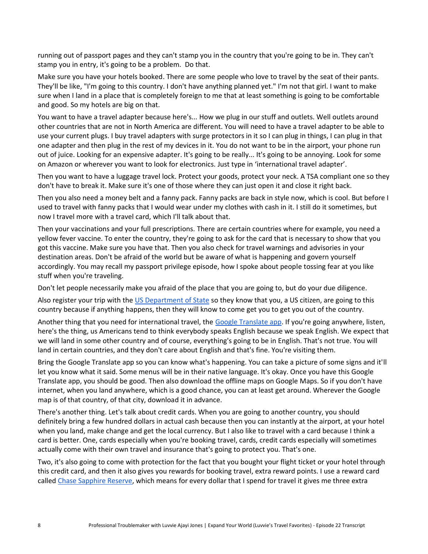running out of passport pages and they can't stamp you in the country that you're going to be in. They can't stamp you in entry, it's going to be a problem. Do that.

Make sure you have your hotels booked. There are some people who love to travel by the seat of their pants. They'll be like, "I'm going to this country. I don't have anything planned yet." I'm not that girl. I want to make sure when I land in a place that is completely foreign to me that at least something is going to be comfortable and good. So my hotels are big on that.

You want to have a travel adapter because here's... How we plug in our stuff and outlets. Well outlets around other countries that are not in North America are different. You will need to have a travel adapter to be able to use your current plugs. I buy travel adapters with surge protectors in it so I can plug in things, I can plug in that one adapter and then plug in the rest of my devices in it. You do not want to be in the airport, your phone run out of juice. Looking for an expensive adapter. It's going to be really... It's going to be annoying. Look for some on Amazon or wherever you want to look for electronics. Just type in 'international travel adapter'.

Then you want to have a luggage travel lock. Protect your goods, protect your neck. A TSA compliant one so they don't have to break it. Make sure it's one of those where they can just open it and close it right back.

Then you also need a money belt and a fanny pack. Fanny packs are back in style now, which is cool. But before I used to travel with fanny packs that I would wear under my clothes with cash in it. I still do it sometimes, but now I travel more with a travel card, which I'll talk about that.

Then your vaccinations and your full prescriptions. There are certain countries where for example, you need a yellow fever vaccine. To enter the country, they're going to ask for the card that is necessary to show that you got this vaccine. Make sure you have that. Then you also check for travel warnings and advisories in your destination areas. Don't be afraid of the world but be aware of what is happening and govern yourself accordingly. You may recall my passport privilege episode, how I spoke about people tossing fear at you like stuff when you're traveling.

Don't let people necessarily make you afraid of the place that you are going to, but do your due diligence.

Also register your trip with the [US Department of State](https://step.state.gov/step/) so they know that you, a US citizen, are going to this country because if anything happens, then they will know to come get you to get you out of the country.

Another thing that you need for international travel, the [Google Translate app.](https://translate.google.com/) If you're going anywhere, listen, here's the thing, us Americans tend to think everybody speaks English because we speak English. We expect that we will land in some other country and of course, everything's going to be in English. That's not true. You will land in certain countries, and they don't care about English and that's fine. You're visiting them.

Bring the Google Translate app so you can know what's happening. You can take a picture of some signs and it'll let you know what it said. Some menus will be in their native language. It's okay. Once you have this Google Translate app, you should be good. Then also download the offline maps on Google Maps. So if you don't have internet, when you land anywhere, which is a good chance, you can at least get around. Wherever the Google map is of that country, of that city, download it in advance.

There's another thing. Let's talk about credit cards. When you are going to another country, you should definitely bring a few hundred dollars in actual cash because then you can instantly at the airport, at your hotel when you land, make change and get the local currency. But I also like to travel with a card because I think a card is better. One, cards especially when you're booking travel, cards, credit cards especially will sometimes actually come with their own travel and insurance that's going to protect you. That's one.

Two, it's also going to come with protection for the fact that you bought your flight ticket or your hotel through this credit card, and then it also gives you rewards for booking travel, extra reward points. I use a reward card calle[d Chase Sapphire Reserve,](https://creditcards.chase.com/rewards-credit-cards/sapphire/reserve) which means for every dollar that I spend for travel it gives me three extra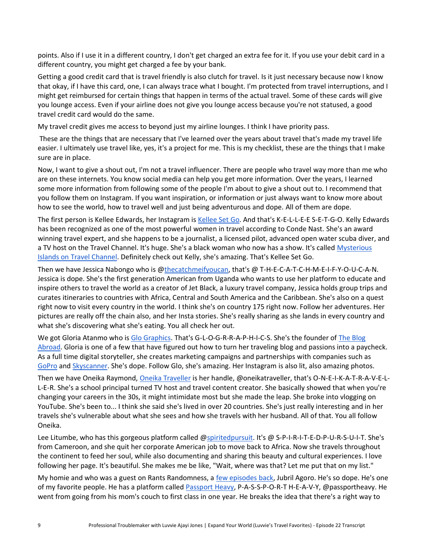points. Also if I use it in a different country, I don't get charged an extra fee for it. If you use your debit card in a different country, you might get charged a fee by your bank.

Getting a good credit card that is travel friendly is also clutch for travel. Is it just necessary because now I know that okay, if I have this card, one, I can always trace what I bought. I'm protected from travel interruptions, and I might get reimbursed for certain things that happen in terms of the actual travel. Some of these cards will give you lounge access. Even if your airline does not give you lounge access because you're not statused, a good travel credit card would do the same.

My travel credit gives me access to beyond just my airline lounges. I think I have priority pass.

These are the things that are necessary that I've learned over the years about travel that's made my travel life easier. I ultimately use travel like, yes, it's a project for me. This is my checklist, these are the things that I make sure are in place.

Now, I want to give a shout out, I'm not a travel influencer. There are people who travel way more than me who are on these internets. You know social media can help you get more information. Over the years, I learned some more information from following some of the people I'm about to give a shout out to. I recommend that you follow them on Instagram. If you want inspiration, or information or just always want to know more about how to see the world, how to travel well and just being adventurous and dope. All of them are dope.

The first person is Kellee Edwards, her Instagram is [Kellee Set](https://www.instagram.com/kelleesetgo/) [Go.](https://www.instagram.com/kelleesetgo/) And that's K-E-L-L-E-E S-E-T-G-O. Kelly Edwards has been recognized as one of the most powerful women in travel according to Conde Nast. She's an award winning travel expert, and she happens to be a journalist, a licensed pilot, advanced open water scuba diver, and a TV host on the Travel Channel. It's huge. She's a black woman who now has a show. It's called Mysterious [Islands on Travel Channel.](https://www.travelchannel.com/shows/mysterious-islands) Definitely check out Kelly, she's amazing. That's Kellee Set Go.

Then we have Jessica Nabongo who is [@thecatchmeifyoucan,](https://www.instagram.com/thecatchmeifyoucan/) that's @ T-H-E-C-A-T-C-H-M-E-I-F-Y-O-U-C-A-N. Jessica is dope. She's the first generation American from Uganda who wants to use her platform to educate and inspire others to travel the world as a creator of Jet Black, a luxury travel company, Jessica holds group trips and curates itineraries to countries with Africa, Central and South America and the Caribbean. She's also on a quest right now to visit every country in the world. I think she's on country 175 right now. Follow her adventures. Her pictures are really off the chain also, and her Insta stories. She's really sharing as she lands in every country and what she's discovering what she's eating. You all check her out.

We got Gloria Atanmo who i[s Glo Graphics.](https://www.instagram.com/glographics/) That's G-L-O-G-R-R-A-P-H-I-C-S. She's the founder of The Blog [Abroad.](https://theblogabroad.com/) Gloria is one of a few that have figured out how to turn her traveling blog and passions into a paycheck. As a full time digital storyteller, she creates marketing campaigns and partnerships with companies such as [GoPro](https://gopro.com/en/us/) and [Skyscanner.](https://www.skyscanner.com/) She's dope. Follow Glo, she's amazing. Her Instagram is also lit, also amazing photos.

Then we have Oneika Raymond, [Oneika Traveller](https://www.instagram.com/oneikatraveller/) is her handle, @oneikatraveller, that's O-N-E-I-K-A-T-R-A-V-E-L-L-E-R. She's a school principal turned TV host and travel content creator. She basically showed that when you're changing your careers in the 30s, it might intimidate most but she made the leap. She broke into vlogging on YouTube. She's been to... I think she said she's lived in over 20 countries. She's just really interesting and in her travels she's vulnerable about what she sees and how she travels with her husband. All of that. You all follow Oneika.

Lee Litumbe, who has this gorgeous platform called [@spiritedpursuit.](https://www.instagram.com/spiritedpursuit/) It's @ S-P-I-R-I-T-E-D-P-U-R-S-U-I-T. She's from Cameroon, and she quit her corporate American job to move back to Africa. Now she travels throughout the continent to feed her soul, while also documenting and sharing this beauty and cultural experiences. I love following her page. It's beautiful. She makes me be like, "Wait, where was that? Let me put that on my list."

My homie and who was a guest on Rants Randomness, a [few episodes back,](https://rantsandrandomness.simplecast.com/episodes/jubril-agoro-60ca3ef5) Jubril Agoro. He's so dope. He's one of my favorite people. He has a platform called [Passport Heavy,](https://www.instagram.com/passportheavy/) P-A-S-S-P-O-R-T H-E-A-V-Y, @passportheavy. He went from going from his mom's couch to first class in one year. He breaks the idea that there's a right way to